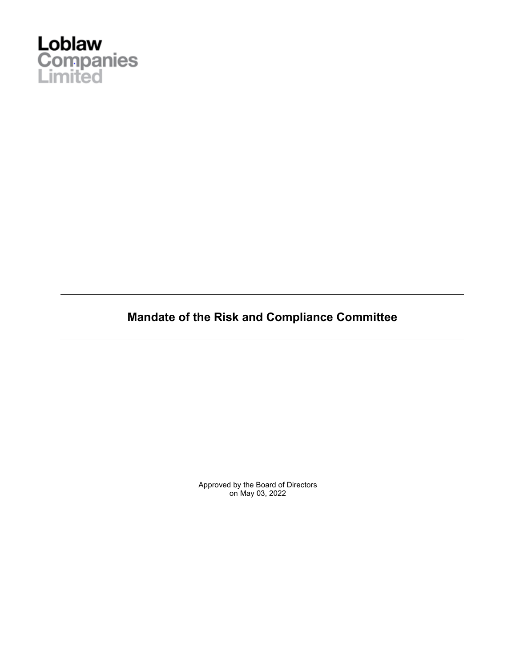

**Mandate of the Risk and Compliance Committee**

Approved by the Board of Directors on May 03, 2022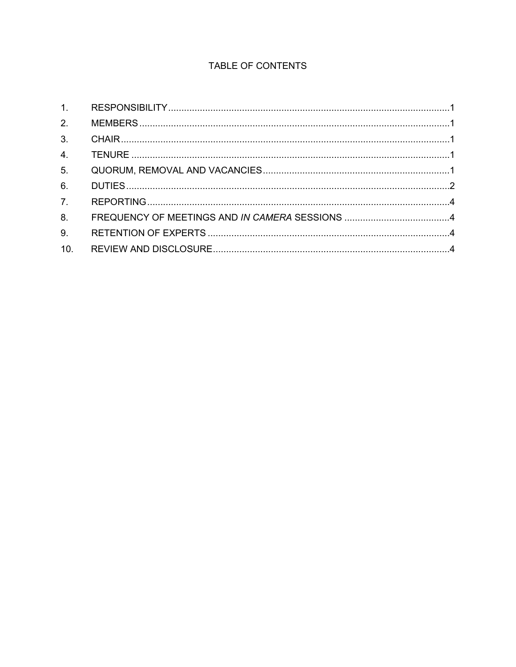# TABLE OF CONTENTS

| 4.             |  |
|----------------|--|
| 5 <sub>1</sub> |  |
| 6.             |  |
| 7.             |  |
| 8.             |  |
| 9.             |  |
| 10.            |  |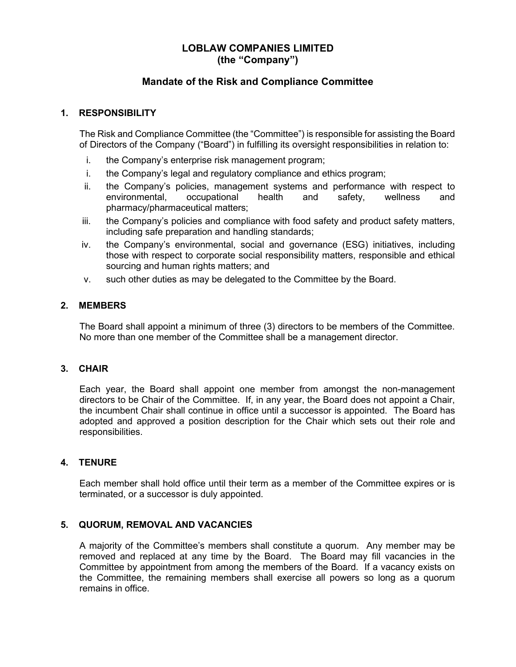# **LOBLAW COMPANIES LIMITED (the "Company")**

## **Mandate of the Risk and Compliance Committee**

### **1. RESPONSIBILITY**

The Risk and Compliance Committee (the "Committee") is responsible for assisting the Board of Directors of the Company ("Board") in fulfilling its oversight responsibilities in relation to:

- i. the Company's enterprise risk management program;
- i. the Company's legal and regulatory compliance and ethics program;
- ii. the Company's policies, management systems and performance with respect to environmental, occupational health and safety, wellness and pharmacy/pharmaceutical matters;
- iii. the Company's policies and compliance with food safety and product safety matters, including safe preparation and handling standards;
- iv. the Company's environmental, social and governance (ESG) initiatives, including those with respect to corporate social responsibility matters, responsible and ethical sourcing and human rights matters; and
- v. such other duties as may be delegated to the Committee by the Board.

### **2. MEMBERS**

The Board shall appoint a minimum of three (3) directors to be members of the Committee. No more than one member of the Committee shall be a management director.

#### **3. CHAIR**

Each year, the Board shall appoint one member from amongst the non-management directors to be Chair of the Committee. If, in any year, the Board does not appoint a Chair, the incumbent Chair shall continue in office until a successor is appointed. The Board has adopted and approved a position description for the Chair which sets out their role and responsibilities.

#### **4. TENURE**

Each member shall hold office until their term as a member of the Committee expires or is terminated, or a successor is duly appointed.

#### **5. QUORUM, REMOVAL AND VACANCIES**

A majority of the Committee's members shall constitute a quorum. Any member may be removed and replaced at any time by the Board. The Board may fill vacancies in the Committee by appointment from among the members of the Board. If a vacancy exists on the Committee, the remaining members shall exercise all powers so long as a quorum remains in office.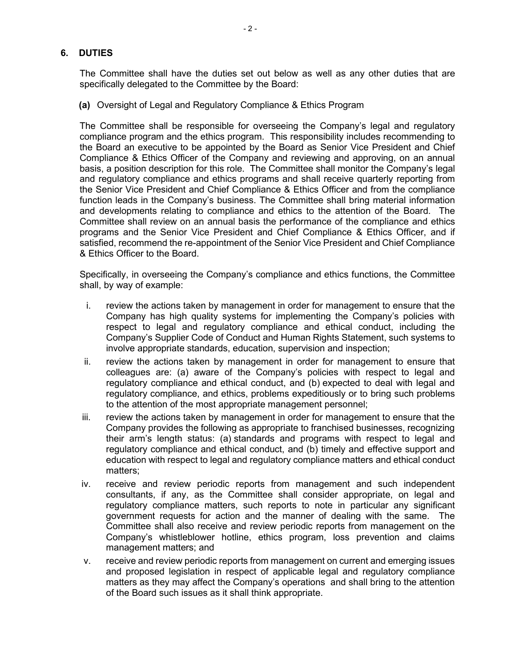#### **6. DUTIES**

The Committee shall have the duties set out below as well as any other duties that are specifically delegated to the Committee by the Board:

**(a)** Oversight of Legal and Regulatory Compliance & Ethics Program

The Committee shall be responsible for overseeing the Company's legal and regulatory compliance program and the ethics program. This responsibility includes recommending to the Board an executive to be appointed by the Board as Senior Vice President and Chief Compliance & Ethics Officer of the Company and reviewing and approving, on an annual basis, a position description for this role. The Committee shall monitor the Company's legal and regulatory compliance and ethics programs and shall receive quarterly reporting from the Senior Vice President and Chief Compliance & Ethics Officer and from the compliance function leads in the Company's business. The Committee shall bring material information and developments relating to compliance and ethics to the attention of the Board. The Committee shall review on an annual basis the performance of the compliance and ethics programs and the Senior Vice President and Chief Compliance & Ethics Officer, and if satisfied, recommend the re-appointment of the Senior Vice President and Chief Compliance & Ethics Officer to the Board.

Specifically, in overseeing the Company's compliance and ethics functions, the Committee shall, by way of example:

- i. review the actions taken by management in order for management to ensure that the Company has high quality systems for implementing the Company's policies with respect to legal and regulatory compliance and ethical conduct, including the Company's Supplier Code of Conduct and Human Rights Statement, such systems to involve appropriate standards, education, supervision and inspection;
- ii. review the actions taken by management in order for management to ensure that colleagues are: (a) aware of the Company's policies with respect to legal and regulatory compliance and ethical conduct, and (b) expected to deal with legal and regulatory compliance, and ethics, problems expeditiously or to bring such problems to the attention of the most appropriate management personnel;
- iii. review the actions taken by management in order for management to ensure that the Company provides the following as appropriate to franchised businesses, recognizing their arm's length status: (a) standards and programs with respect to legal and regulatory compliance and ethical conduct, and (b) timely and effective support and education with respect to legal and regulatory compliance matters and ethical conduct matters;
- iv. receive and review periodic reports from management and such independent consultants, if any, as the Committee shall consider appropriate, on legal and regulatory compliance matters, such reports to note in particular any significant government requests for action and the manner of dealing with the same. The Committee shall also receive and review periodic reports from management on the Company's whistleblower hotline, ethics program, loss prevention and claims management matters; and
- v. receive and review periodic reports from management on current and emerging issues and proposed legislation in respect of applicable legal and regulatory compliance matters as they may affect the Company's operations and shall bring to the attention of the Board such issues as it shall think appropriate.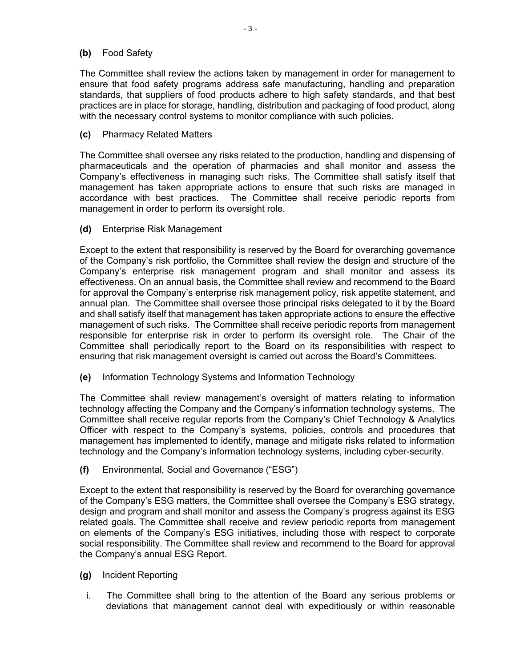#### **(b)** Food Safety

The Committee shall review the actions taken by management in order for management to ensure that food safety programs address safe manufacturing, handling and preparation standards, that suppliers of food products adhere to high safety standards, and that best practices are in place for storage, handling, distribution and packaging of food product, along with the necessary control systems to monitor compliance with such policies.

**(c)** Pharmacy Related Matters

The Committee shall oversee any risks related to the production, handling and dispensing of pharmaceuticals and the operation of pharmacies and shall monitor and assess the Company's effectiveness in managing such risks. The Committee shall satisfy itself that management has taken appropriate actions to ensure that such risks are managed in accordance with best practices. The Committee shall receive periodic reports from management in order to perform its oversight role.

**(d)** Enterprise Risk Management

Except to the extent that responsibility is reserved by the Board for overarching governance of the Company's risk portfolio, the Committee shall review the design and structure of the Company's enterprise risk management program and shall monitor and assess its effectiveness. On an annual basis, the Committee shall review and recommend to the Board for approval the Company's enterprise risk management policy, risk appetite statement, and annual plan. The Committee shall oversee those principal risks delegated to it by the Board and shall satisfy itself that management has taken appropriate actions to ensure the effective management of such risks. The Committee shall receive periodic reports from management responsible for enterprise risk in order to perform its oversight role. The Chair of the Committee shall periodically report to the Board on its responsibilities with respect to ensuring that risk management oversight is carried out across the Board's Committees.

**(e)** Information Technology Systems and Information Technology

The Committee shall review management's oversight of matters relating to information technology affecting the Company and the Company's information technology systems. The Committee shall receive regular reports from the Company's Chief Technology & Analytics Officer with respect to the Company's systems, policies, controls and procedures that management has implemented to identify, manage and mitigate risks related to information technology and the Company's information technology systems, including cyber-security.

**(f)** Environmental, Social and Governance ("ESG")

Except to the extent that responsibility is reserved by the Board for overarching governance of the Company's ESG matters, the Committee shall oversee the Company's ESG strategy, design and program and shall monitor and assess the Company's progress against its ESG related goals. The Committee shall receive and review periodic reports from management on elements of the Company's ESG initiatives, including those with respect to corporate social responsibility. The Committee shall review and recommend to the Board for approval the Company's annual ESG Report.

- **(g)** Incident Reporting
	- i. The Committee shall bring to the attention of the Board any serious problems or deviations that management cannot deal with expeditiously or within reasonable